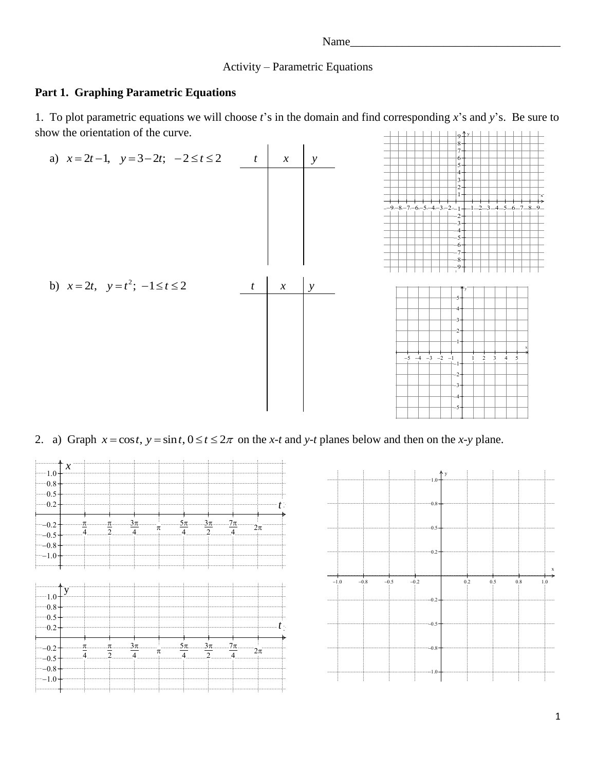## Activity – Parametric Equations

### **Part 1. Graphing Parametric Equations**

9⊕ y L 1. To plot parametric equations we will choose *t*'s in the domain and find corresponding *x*'s and *y*'s. Be sure to show the orientation of the curve.



# 2. a) Graph  $x = \cos t$ ,  $y = \sin t$ ,  $0 \le t \le 2\pi$  on the *x*-*t* and *y*-*t* planes below and then on the *x*-*y* plane.



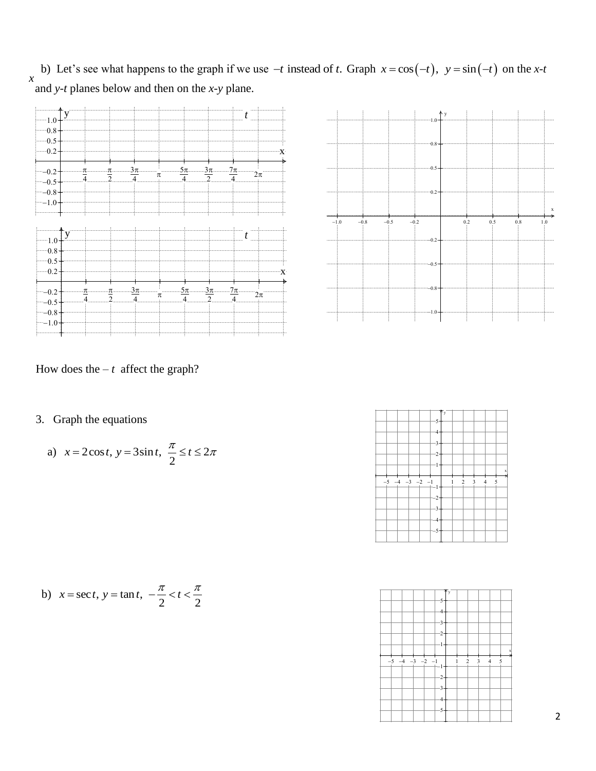b) Let's see what happens to the graph if we use  $-t$  instead of *t*. Graph  $x = cos(-t)$ ,  $y = sin(-t)$  on the *x*-*t* and *y*-*t* planes below and then on the *x*-*y* plane. *x*





How does the  $-t$  affect the graph?

3. Graph the equations

a) 
$$
x = 2\cos t, y = 3\sin t, \frac{\pi}{2} \le t \le 2\pi
$$

b) 
$$
x = \sec t, y = \tan t, -\frac{\pi}{2} < t < \frac{\pi}{2}
$$

| aph the equations                                              |      |      |      |      |         | -5-                        |   |   |  |
|----------------------------------------------------------------|------|------|------|------|---------|----------------------------|---|---|--|
| $x = 2\cos t$ , $y = 3\sin t$ , $\frac{\pi}{2} \le t \le 2\pi$ |      |      |      |      |         | -3-                        |   |   |  |
|                                                                | $-5$ | $-4$ | $-3$ | $-2$ | $^{-1}$ | -2-<br>-3-<br>-4-<br>$-5-$ | 2 | 3 |  |
| = sect, $y = \tan t$ , $-\frac{\pi}{2} < t < \frac{\pi}{2}$    |      |      |      |      |         |                            |   |   |  |

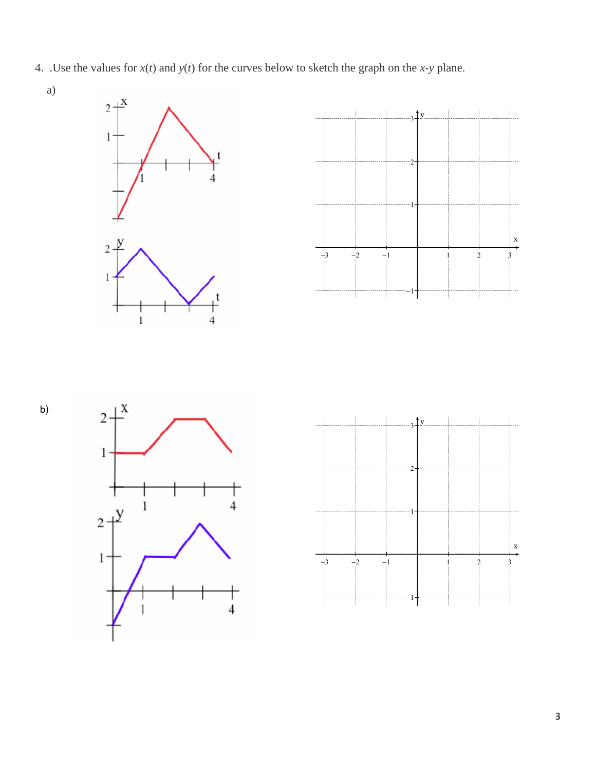- 4. .Use the values for  $x(t)$  and  $y(t)$  for the curves below to sketch the graph on the *x*-*y* plane.
	- a)









b)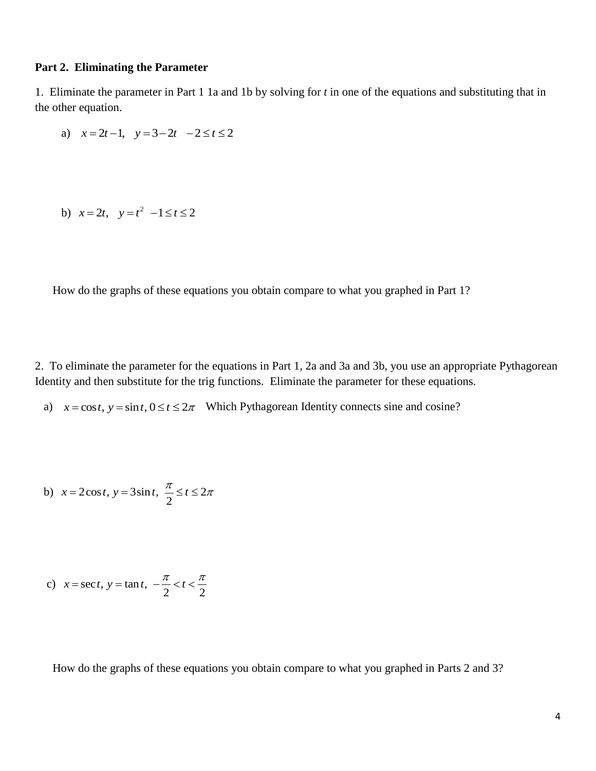#### **Part 2. Eliminating the Parameter**

1. Eliminate the parameter in Part 1 1a and 1b by solving for *t* in one of the equations and substituting that in the other equation.

a) 
$$
x=2t-1
$$
,  $y=3-2t$   $-2 \le t \le 2$ 

b) 
$$
x = 2t
$$
,  $y = t^2 -1 \le t \le 2$ 

How do the graphs of these equations you obtain compare to what you graphed in Part 1?

2. To eliminate the parameter for the equations in Part 1, 2a and 3a and 3b, you use an appropriate Pythagorean Identity and then substitute for the trig functions. Eliminate the parameter for these equations.

a)  $x = \cos t$ ,  $y = \sin t$ ,  $0 \le t \le 2\pi$  Which Pythagorean Identity connects sine and cosine?

b) 
$$
x = 2\cos t, y = 3\sin t, \frac{\pi}{2} \le t \le 2\pi
$$

c) 
$$
x = \sec t, y = \tan t, -\frac{\pi}{2} < t < \frac{\pi}{2}
$$

How do the graphs of these equations you obtain compare to what you graphed in Parts 2 and 3?